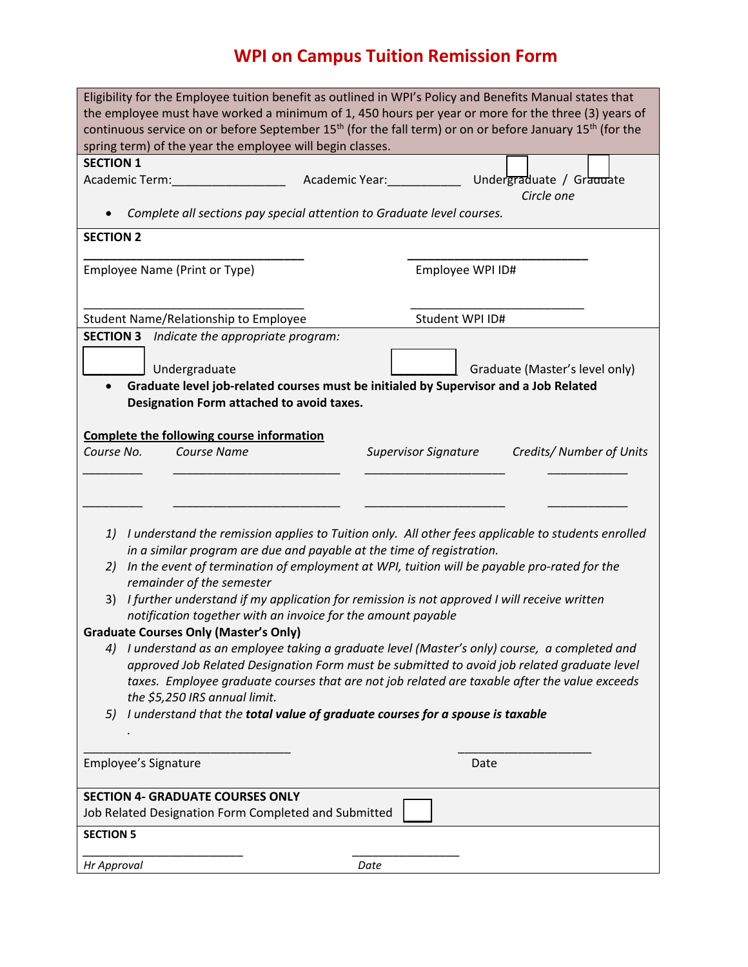## **WPI on Campus Tuition Remission Form**

| Eligibility for the Employee tuition benefit as outlined in WPI's Policy and Benefits Manual states that                                                                          |
|-----------------------------------------------------------------------------------------------------------------------------------------------------------------------------------|
| the employee must have worked a minimum of 1, 450 hours per year or more for the three (3) years of                                                                               |
| continuous service on or before September 15 <sup>th</sup> (for the fall term) or on or before January 15 <sup>th</sup> (for the                                                  |
| spring term) of the year the employee will begin classes.                                                                                                                         |
| <b>SECTION 1</b>                                                                                                                                                                  |
| Academic Term:<br>Academic Year: Academic Year:<br>Undergraduate / Graudate                                                                                                       |
| Circle one                                                                                                                                                                        |
| Complete all sections pay special attention to Graduate level courses.                                                                                                            |
| <b>SECTION 2</b>                                                                                                                                                                  |
|                                                                                                                                                                                   |
| Employee Name (Print or Type)<br>Employee WPI ID#                                                                                                                                 |
|                                                                                                                                                                                   |
|                                                                                                                                                                                   |
| Student Name/Relationship to Employee<br>Student WPI ID#                                                                                                                          |
| <b>SECTION 3</b> Indicate the appropriate program:                                                                                                                                |
|                                                                                                                                                                                   |
| Undergraduate<br>Graduate (Master's level only)                                                                                                                                   |
| Graduate level job-related courses must be initialed by Supervisor and a Job Related                                                                                              |
| Designation Form attached to avoid taxes.                                                                                                                                         |
|                                                                                                                                                                                   |
| <b>Complete the following course information</b>                                                                                                                                  |
| <b>Course Name</b><br>Course No.<br><b>Supervisor Signature</b><br>Credits/ Number of Units                                                                                       |
|                                                                                                                                                                                   |
|                                                                                                                                                                                   |
|                                                                                                                                                                                   |
|                                                                                                                                                                                   |
| I understand the remission applies to Tuition only. All other fees applicable to students enrolled<br>1)<br>in a similar program are due and payable at the time of registration. |
| In the event of termination of employment at WPI, tuition will be payable pro-rated for the<br>2)                                                                                 |
| remainder of the semester                                                                                                                                                         |
| I further understand if my application for remission is not approved I will receive written<br>3)                                                                                 |
| notification together with an invoice for the amount payable                                                                                                                      |
| <b>Graduate Courses Only (Master's Only)</b>                                                                                                                                      |
| I understand as an employee taking a graduate level (Master's only) course, a completed and<br>4)                                                                                 |
| approved Job Related Designation Form must be submitted to avoid job related graduate level                                                                                       |
| taxes. Employee graduate courses that are not job related are taxable after the value exceeds                                                                                     |
| the \$5,250 IRS annual limit.                                                                                                                                                     |
| I understand that the total value of graduate courses for a spouse is taxable<br>5)                                                                                               |
|                                                                                                                                                                                   |
|                                                                                                                                                                                   |
| Employee's Signature<br>Date                                                                                                                                                      |
|                                                                                                                                                                                   |
| <b>SECTION 4- GRADUATE COURSES ONLY</b>                                                                                                                                           |
| Job Related Designation Form Completed and Submitted                                                                                                                              |
| <b>SECTION 5</b>                                                                                                                                                                  |
|                                                                                                                                                                                   |
| Hr Approval<br>Date                                                                                                                                                               |
|                                                                                                                                                                                   |